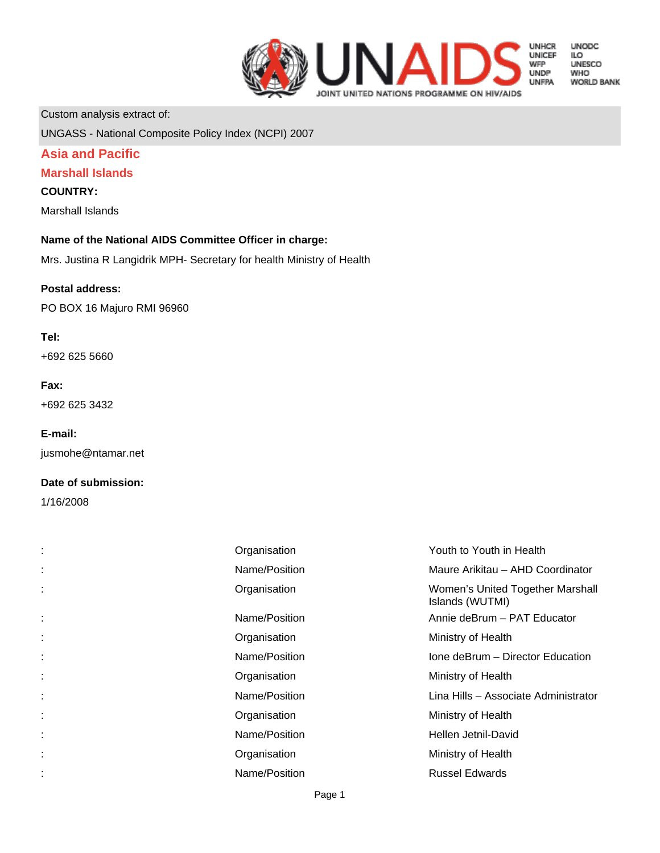

**UNODC LO<br>ILO<br>UNESCO WHO WORLD BANK** 

Custom analysis extract of:

UNGASS - National Composite Policy Index (NCPI) 2007

## **Asia and Pacific**

## **Marshall Islands**

#### **COUNTRY:**

Marshall Islands

#### **Name of the National AIDS Committee Officer in charge:**

Mrs. Justina R Langidrik MPH- Secretary for health Ministry of Health

#### **Postal address:**

PO BOX 16 Majuro RMI 96960

#### **Tel:**

+692 625 5660

#### **Fax:**

+692 625 3432

#### **E-mail:**

jusmohe@ntamar.net

#### **Date of submission:**

1/16/2008

| ÷. | Organisation  | Youth to Youth in Health                            |
|----|---------------|-----------------------------------------------------|
| ÷  | Name/Position | Maure Arikitau - AHD Coordinator                    |
| ÷  | Organisation  | Women's United Together Marshall<br>Islands (WUTMI) |
| ÷. | Name/Position | Annie deBrum - PAT Educator                         |
| ÷. | Organisation  | Ministry of Health                                  |
| ÷. | Name/Position | Ione deBrum - Director Education                    |
| ÷. | Organisation  | Ministry of Health                                  |
| t. | Name/Position | Lina Hills - Associate Administrator                |
|    | Organisation  | Ministry of Health                                  |
|    | Name/Position | Hellen Jetnil-David                                 |
| t. | Organisation  | Ministry of Health                                  |
|    | Name/Position | <b>Russel Edwards</b>                               |
|    |               |                                                     |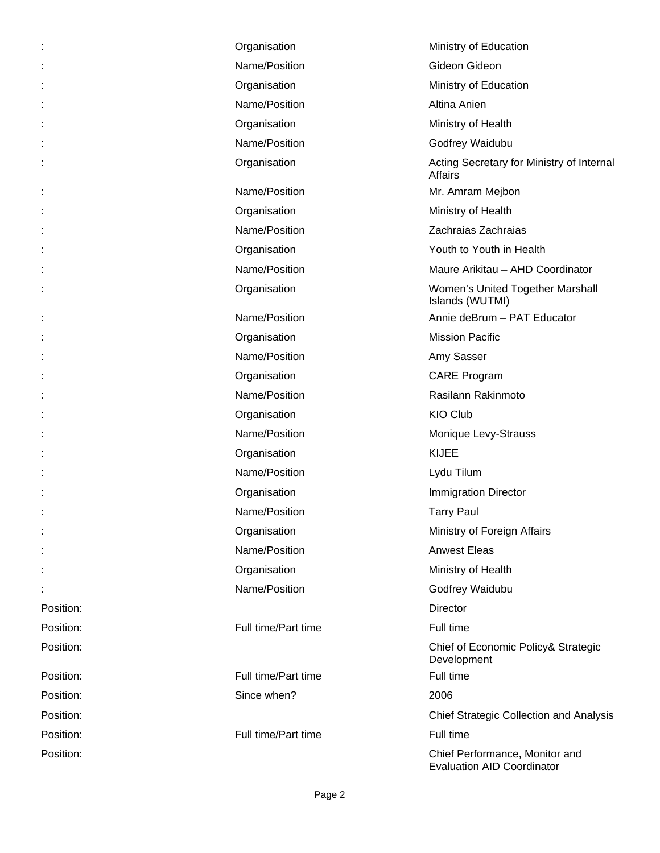|           | Organisation        | Ministry of Education                                               |
|-----------|---------------------|---------------------------------------------------------------------|
|           | Name/Position       | Gideon Gideon                                                       |
|           | Organisation        | Ministry of Education                                               |
|           | Name/Position       | Altina Anien                                                        |
|           | Organisation        | Ministry of Health                                                  |
|           | Name/Position       | Godfrey Waidubu                                                     |
|           | Organisation        | Acting Secretary for Ministry of Internal<br><b>Affairs</b>         |
|           | Name/Position       | Mr. Amram Mejbon                                                    |
|           | Organisation        | Ministry of Health                                                  |
|           | Name/Position       | Zachraias Zachraias                                                 |
|           | Organisation        | Youth to Youth in Health                                            |
|           | Name/Position       | Maure Arikitau - AHD Coordinator                                    |
|           | Organisation        | Women's United Together Marshall<br>Islands (WUTMI)                 |
|           | Name/Position       | Annie deBrum - PAT Educator                                         |
|           | Organisation        | <b>Mission Pacific</b>                                              |
|           | Name/Position       | Amy Sasser                                                          |
|           | Organisation        | <b>CARE Program</b>                                                 |
|           | Name/Position       | Rasilann Rakinmoto                                                  |
|           | Organisation        | <b>KIO Club</b>                                                     |
|           | Name/Position       | Monique Levy-Strauss                                                |
|           | Organisation        | <b>KIJEE</b>                                                        |
|           | Name/Position       | Lydu Tilum                                                          |
|           | Organisation        | <b>Immigration Director</b>                                         |
|           | Name/Position       | <b>Tarry Paul</b>                                                   |
|           | Organisation        | Ministry of Foreign Affairs                                         |
|           | Name/Position       | <b>Anwest Eleas</b>                                                 |
|           | Organisation        | Ministry of Health                                                  |
|           | Name/Position       | Godfrey Waidubu                                                     |
| Position: |                     | <b>Director</b>                                                     |
| Position: | Full time/Part time | Full time                                                           |
| Position: |                     | Chief of Economic Policy& Strategic<br>Development                  |
| Position: | Full time/Part time | Full time                                                           |
| Position: | Since when?         | 2006                                                                |
| Position: |                     | <b>Chief Strategic Collection and Analysis</b>                      |
| Position: | Full time/Part time | Full time                                                           |
| Position: |                     | Chief Performance, Monitor and<br><b>Evaluation AID Coordinator</b> |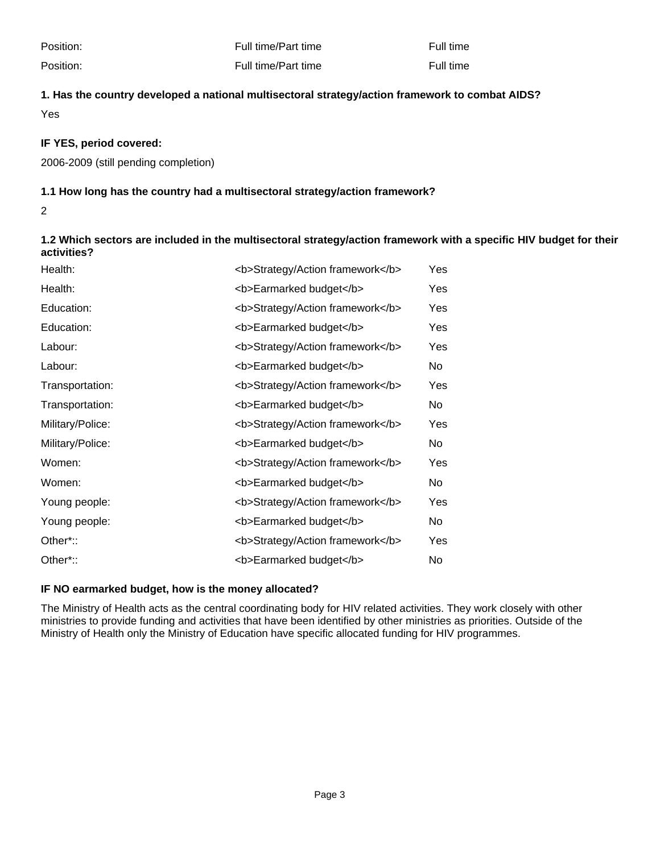Position: The Full time/Part time **Full time Full time** Full time

Position: The Full time/Part time **Full time Full time** Full time

**1. Has the country developed a national multisectoral strategy/action framework to combat AIDS?**

Yes

## **IF YES, period covered:**

2006-2009 (still pending completion)

## **1.1 How long has the country had a multisectoral strategy/action framework?**

2

**1.2 Which sectors are included in the multisectoral strategy/action framework with a specific HIV budget for their activities?**

| Health:          | <b>Strategy/Action framework</b> | Yes |
|------------------|----------------------------------|-----|
| Health:          | <b>Earmarked budget</b>          | Yes |
| Education:       | <b>Strategy/Action framework</b> | Yes |
| Education:       | <b>Earmarked budget</b>          | Yes |
| Labour:          | <b>Strategy/Action framework</b> | Yes |
| Labour:          | <b>Earmarked budget</b>          | No  |
| Transportation:  | <b>Strategy/Action framework</b> | Yes |
| Transportation:  | <b>Earmarked budget</b>          | No  |
| Military/Police: | <b>Strategy/Action framework</b> | Yes |
| Military/Police: | <b>Earmarked budget</b>          | No  |
| Women:           | <b>Strategy/Action framework</b> | Yes |
| Women:           | <b>Earmarked budget</b>          | No  |
| Young people:    | <b>Strategy/Action framework</b> | Yes |
| Young people:    | <b>Earmarked budget</b>          | No  |
| Other*::         | <b>Strategy/Action framework</b> | Yes |
| Other*::         | <b>Earmarked budget</b>          | No  |

#### **IF NO earmarked budget, how is the money allocated?**

The Ministry of Health acts as the central coordinating body for HIV related activities. They work closely with other ministries to provide funding and activities that have been identified by other ministries as priorities. Outside of the Ministry of Health only the Ministry of Education have specific allocated funding for HIV programmes.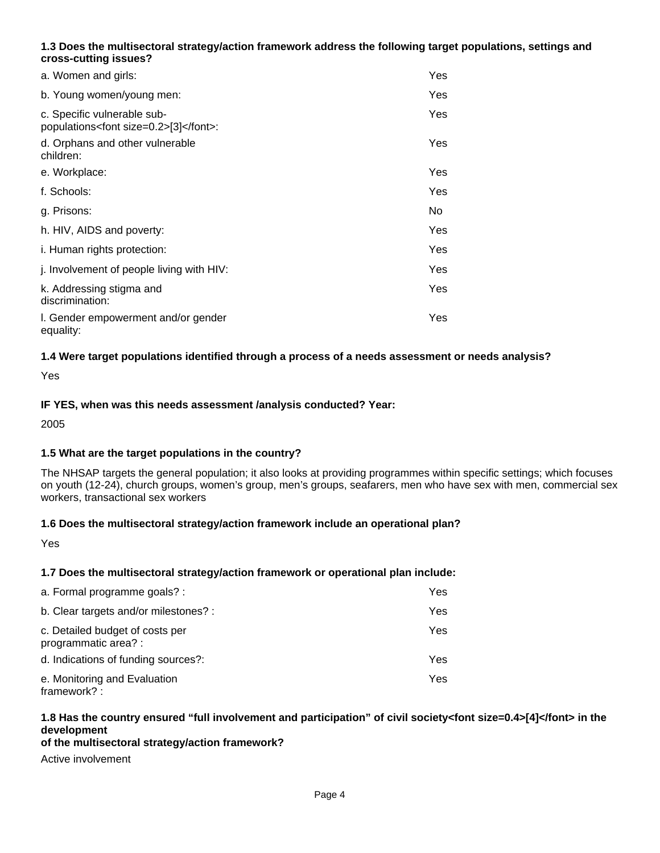## **1.3 Does the multisectoral strategy/action framework address the following target populations, settings and cross-cutting issues?**

| a. Women and girls:                                                      | Yes |
|--------------------------------------------------------------------------|-----|
| b. Young women/young men:                                                | Yes |
| c. Specific vulnerable sub-<br>populations <font size="0.2">[3]</font> : | Yes |
| d. Orphans and other vulnerable<br>children:                             | Yes |
| e. Workplace:                                                            | Yes |
| f. Schools:                                                              | Yes |
| g. Prisons:                                                              | No. |
| h. HIV, AIDS and poverty:                                                | Yes |
| i. Human rights protection:                                              | Yes |
| j. Involvement of people living with HIV:                                | Yes |
| k. Addressing stigma and<br>discrimination:                              | Yes |
| I. Gender empowerment and/or gender<br>equality:                         | Yes |

## **1.4 Were target populations identified through a process of a needs assessment or needs analysis?**

Yes

#### **IF YES, when was this needs assessment /analysis conducted? Year:**

2005

#### **1.5 What are the target populations in the country?**

The NHSAP targets the general population; it also looks at providing programmes within specific settings; which focuses on youth (12-24), church groups, women's group, men's groups, seafarers, men who have sex with men, commercial sex workers, transactional sex workers

#### **1.6 Does the multisectoral strategy/action framework include an operational plan?**

Yes

#### **1.7 Does the multisectoral strategy/action framework or operational plan include:**

| a. Formal programme goals? :                            | Yes |
|---------------------------------------------------------|-----|
| b. Clear targets and/or milestones? :                   | Yes |
| c. Detailed budget of costs per<br>programmatic area? : | Yes |
| d. Indications of funding sources?:                     | Yes |
| e. Monitoring and Evaluation<br>framework? :            | Yes |

# **1.8 Has the country ensured "full involvement and participation" of civil society<font size=0.4>[4]</font> in the development**

#### **of the multisectoral strategy/action framework?**

Active involvement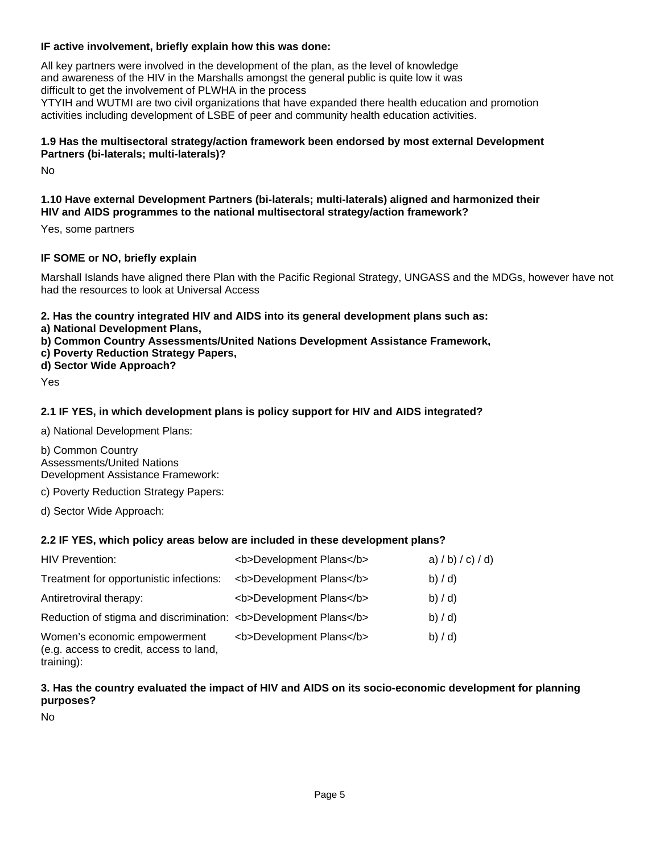## **IF active involvement, briefly explain how this was done:**

All key partners were involved in the development of the plan, as the level of knowledge and awareness of the HIV in the Marshalls amongst the general public is quite low it was difficult to get the involvement of PLWHA in the process YTYIH and WUTMI are two civil organizations that have expanded there health education and promotion activities including development of LSBE of peer and community health education activities.

#### **1.9 Has the multisectoral strategy/action framework been endorsed by most external Development Partners (bi-laterals; multi-laterals)?**

No

#### **1.10 Have external Development Partners (bi-laterals; multi-laterals) aligned and harmonized their HIV and AIDS programmes to the national multisectoral strategy/action framework?**

Yes, some partners

## **IF SOME or NO, briefly explain**

Marshall Islands have aligned there Plan with the Pacific Regional Strategy, UNGASS and the MDGs, however have not had the resources to look at Universal Access

**2. Has the country integrated HIV and AIDS into its general development plans such as:** 

- **a) National Development Plans,**
- **b) Common Country Assessments/United Nations Development Assistance Framework,**
- **c) Poverty Reduction Strategy Papers,**
- **d) Sector Wide Approach?**

Yes

## **2.1 IF YES, in which development plans is policy support for HIV and AIDS integrated?**

a) National Development Plans:

b) Common Country Assessments/United Nations Development Assistance Framework:

c) Poverty Reduction Strategy Papers:

d) Sector Wide Approach:

#### **2.2 IF YES, which policy areas below are included in these development plans?**

| <b>HIV Prevention:</b>                                                                | <b>Development Plans</b> | a) $/b$ ) $/c$ ) $/d$ ) |
|---------------------------------------------------------------------------------------|--------------------------|-------------------------|
| Treatment for opportunistic infections:                                               | <b>Development Plans</b> | b) / d                  |
| Antiretroviral therapy:                                                               | <b>Development Plans</b> | b) / d                  |
| Reduction of stigma and discrimination: <b>Development Plans</b>                      |                          | b) / d                  |
| Women's economic empowerment<br>(e.g. access to credit, access to land,<br>training): | <b>Development Plans</b> | b) / d                  |

#### **3. Has the country evaluated the impact of HIV and AIDS on its socio-economic development for planning purposes?**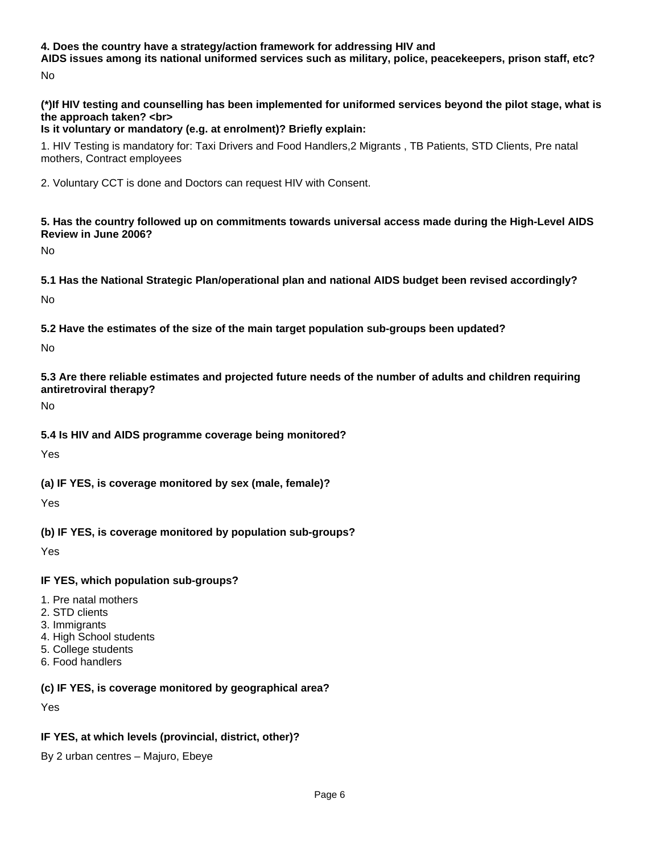#### **4. Does the country have a strategy/action framework for addressing HIV and**

 **AIDS issues among its national uniformed services such as military, police, peacekeepers, prison staff, etc?** No

**(\*)If HIV testing and counselling has been implemented for uniformed services beyond the pilot stage, what is the approach taken? <br>** 

## **Is it voluntary or mandatory (e.g. at enrolment)? Briefly explain:**

1. HIV Testing is mandatory for: Taxi Drivers and Food Handlers,2 Migrants , TB Patients, STD Clients, Pre natal mothers, Contract employees

2. Voluntary CCT is done and Doctors can request HIV with Consent.

**5. Has the country followed up on commitments towards universal access made during the High-Level AIDS Review in June 2006?**

No

**5.1 Has the National Strategic Plan/operational plan and national AIDS budget been revised accordingly?**

No

**5.2 Have the estimates of the size of the main target population sub-groups been updated?**

No

**5.3 Are there reliable estimates and projected future needs of the number of adults and children requiring antiretroviral therapy?**

No

**5.4 Is HIV and AIDS programme coverage being monitored?**

Yes

**(a) IF YES, is coverage monitored by sex (male, female)?**

Yes

**(b) IF YES, is coverage monitored by population sub-groups?**

Yes

**IF YES, which population sub-groups?**

- 1. Pre natal mothers
- 2. STD clients
- 3. Immigrants
- 4. High School students
- 5. College students
- 6. Food handlers

**(c) IF YES, is coverage monitored by geographical area?**

Yes

# **IF YES, at which levels (provincial, district, other)?**

By 2 urban centres – Majuro, Ebeye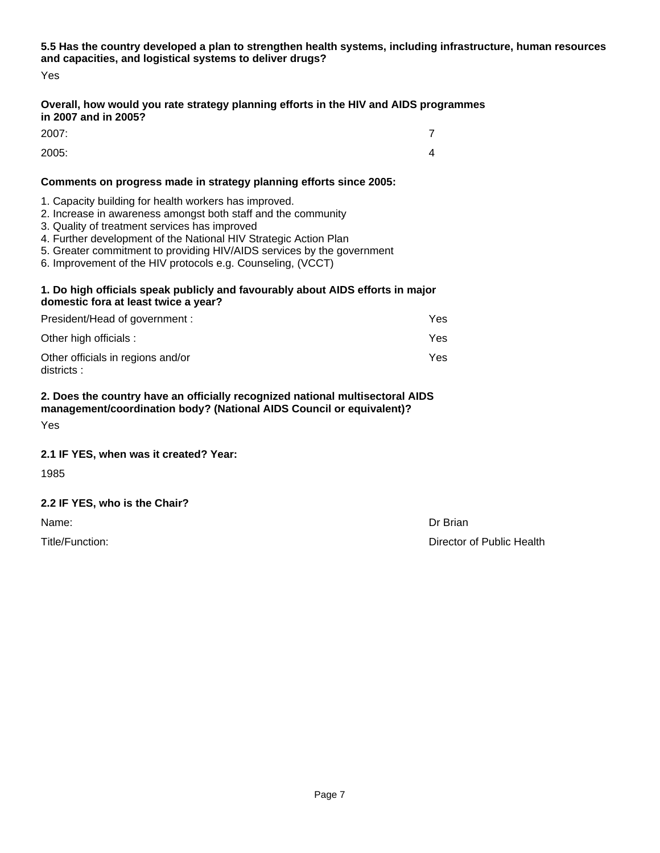**5.5 Has the country developed a plan to strengthen health systems, including infrastructure, human resources and capacities, and logistical systems to deliver drugs?**

Yes

## **Overall, how would you rate strategy planning efforts in the HIV and AIDS programmes in 2007 and in 2005?**

2007: 7

2005: 4

## **Comments on progress made in strategy planning efforts since 2005:**

- 1. Capacity building for health workers has improved.
- 2. Increase in awareness amongst both staff and the community
- 3. Quality of treatment services has improved
- 4. Further development of the National HIV Strategic Action Plan
- 5. Greater commitment to providing HIV/AIDS services by the government
- 6. Improvement of the HIV protocols e.g. Counseling, (VCCT)

#### **1. Do high officials speak publicly and favourably about AIDS efforts in major domestic fora at least twice a year?**

| President/Head of government :                   | Yes |
|--------------------------------------------------|-----|
| Other high officials :                           | Yes |
| Other officials in regions and/or<br>districts : | Yes |

#### **2. Does the country have an officially recognized national multisectoral AIDS management/coordination body? (National AIDS Council or equivalent)?**

Yes

# **2.1 IF YES, when was it created? Year:**

1985

# **2.2 IF YES, who is the Chair?**

Name: Dr Brian

Title/Function: **Director of Public Health Director of Public Health**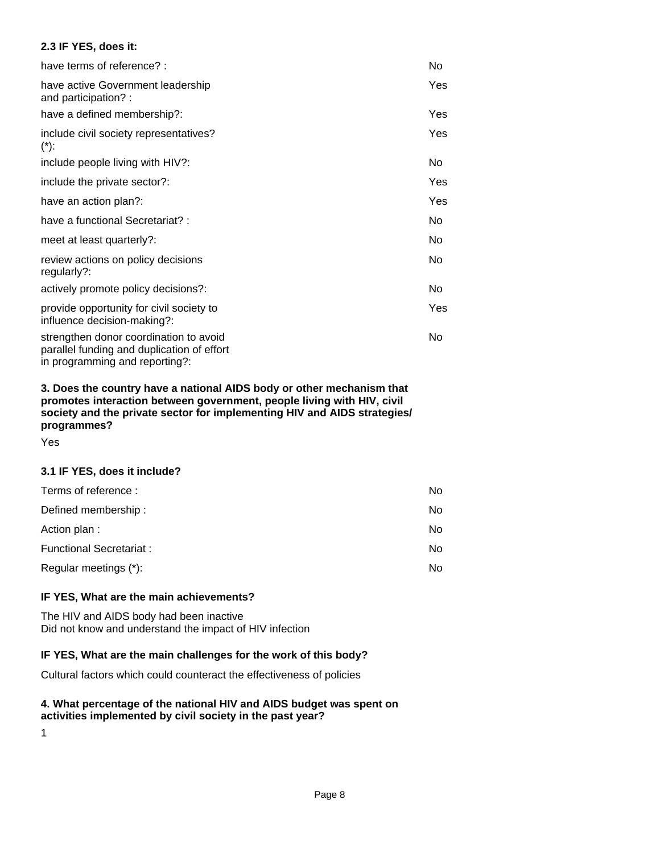#### **2.3 IF YES, does it:**

| have terms of reference? :                                                                                             | No.        |
|------------------------------------------------------------------------------------------------------------------------|------------|
| have active Government leadership<br>and participation?:                                                               | Yes        |
| have a defined membership?:                                                                                            | <b>Yes</b> |
| include civil society representatives?<br>$(*)$ :                                                                      | Yes        |
| include people living with HIV?:                                                                                       | No.        |
| include the private sector?:                                                                                           | <b>Yes</b> |
| have an action plan?:                                                                                                  | Yes        |
| have a functional Secretariat?:                                                                                        | No.        |
| meet at least quarterly?:                                                                                              | No.        |
| review actions on policy decisions<br>regularly?:                                                                      | No         |
| actively promote policy decisions?:                                                                                    | No.        |
| provide opportunity for civil society to<br>influence decision-making?:                                                | <b>Yes</b> |
| strengthen donor coordination to avoid<br>parallel funding and duplication of effort<br>in programming and reporting?: | No.        |

**3. Does the country have a national AIDS body or other mechanism that promotes interaction between government, people living with HIV, civil society and the private sector for implementing HIV and AIDS strategies/ programmes?**

Yes

#### **3.1 IF YES, does it include?**

| Terms of reference:            | No  |
|--------------------------------|-----|
| Defined membership:            | No. |
| Action plan:                   | No. |
| <b>Functional Secretariat:</b> | No. |
| Regular meetings (*):          | No. |

#### **IF YES, What are the main achievements?**

The HIV and AIDS body had been inactive Did not know and understand the impact of HIV infection

### **IF YES, What are the main challenges for the work of this body?**

Cultural factors which could counteract the effectiveness of policies

#### **4. What percentage of the national HIV and AIDS budget was spent on activities implemented by civil society in the past year?**

1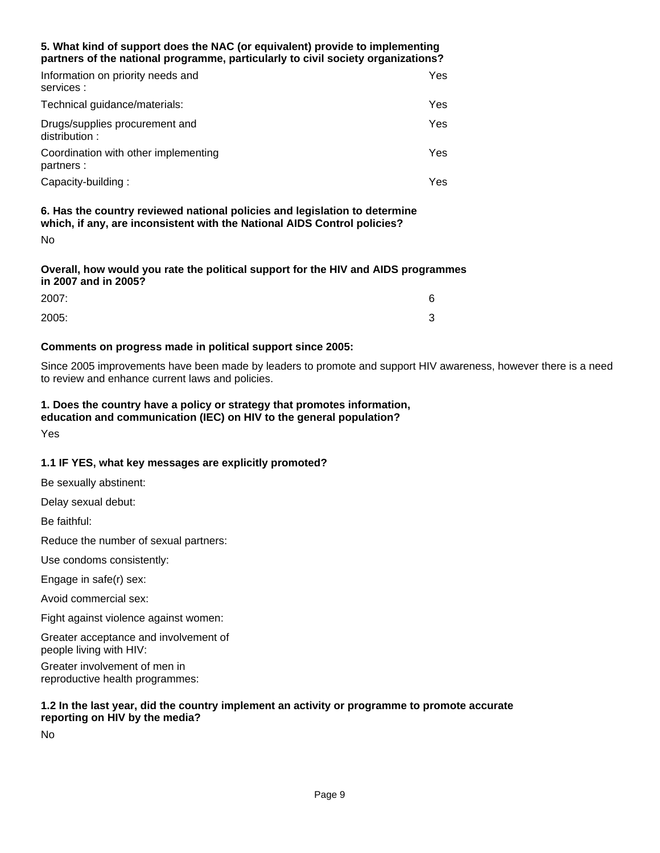#### **5. What kind of support does the NAC (or equivalent) provide to implementing partners of the national programme, particularly to civil society organizations?**

| Information on priority needs and<br>services :    | Yes  |
|----------------------------------------------------|------|
| Technical guidance/materials:                      | Yes. |
| Drugs/supplies procurement and<br>distribution:    | Yes. |
| Coordination with other implementing<br>partners : | Yes  |
| Capacity-building:                                 | Yes  |

**6. Has the country reviewed national policies and legislation to determine which, if any, are inconsistent with the National AIDS Control policies?** No

#### **Overall, how would you rate the political support for the HIV and AIDS programmes in 2007 and in 2005?**

| 2007: | 6      |
|-------|--------|
| 2005: | ⌒<br>ັ |

## **Comments on progress made in political support since 2005:**

Since 2005 improvements have been made by leaders to promote and support HIV awareness, however there is a need to review and enhance current laws and policies.

# **1. Does the country have a policy or strategy that promotes information,**

**education and communication (IEC) on HIV to the general population?**

Yes

# **1.1 IF YES, what key messages are explicitly promoted?**

Be sexually abstinent:

Delay sexual debut:

Be faithful:

Reduce the number of sexual partners:

Use condoms consistently:

Engage in safe(r) sex:

Avoid commercial sex:

Fight against violence against women:

Greater acceptance and involvement of people living with HIV:

Greater involvement of men in reproductive health programmes:

#### **1.2 In the last year, did the country implement an activity or programme to promote accurate reporting on HIV by the media?**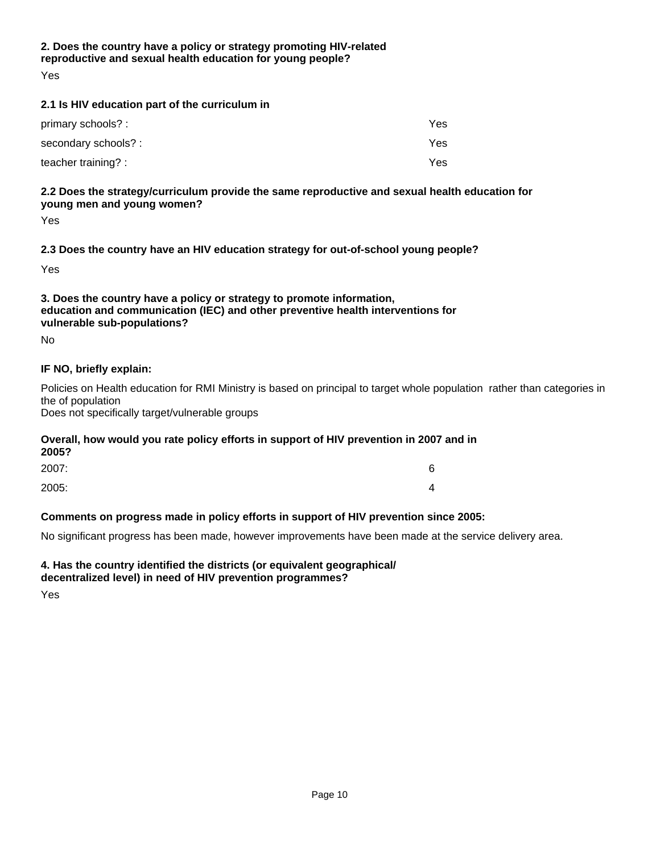# **2. Does the country have a policy or strategy promoting HIV-related reproductive and sexual health education for young people?**

Yes

## **2.1 Is HIV education part of the curriculum in**

| primary schools? :   | Yes. |
|----------------------|------|
| secondary schools? : | Yes  |
| teacher training? :  | Yes  |

## **2.2 Does the strategy/curriculum provide the same reproductive and sexual health education for young men and young women?**

Yes

#### **2.3 Does the country have an HIV education strategy for out-of-school young people?**

Yes

## **3. Does the country have a policy or strategy to promote information, education and communication (IEC) and other preventive health interventions for vulnerable sub-populations?**

No

## **IF NO, briefly explain:**

Policies on Health education for RMI Ministry is based on principal to target whole population rather than categories in the of population

Does not specifically target/vulnerable groups

#### **Overall, how would you rate policy efforts in support of HIV prevention in 2007 and in 2005?**

| 2007: | 6 |
|-------|---|
| 2005: | 4 |

# **Comments on progress made in policy efforts in support of HIV prevention since 2005:**

No significant progress has been made, however improvements have been made at the service delivery area.

# **4. Has the country identified the districts (or equivalent geographical/**

**decentralized level) in need of HIV prevention programmes?**

Yes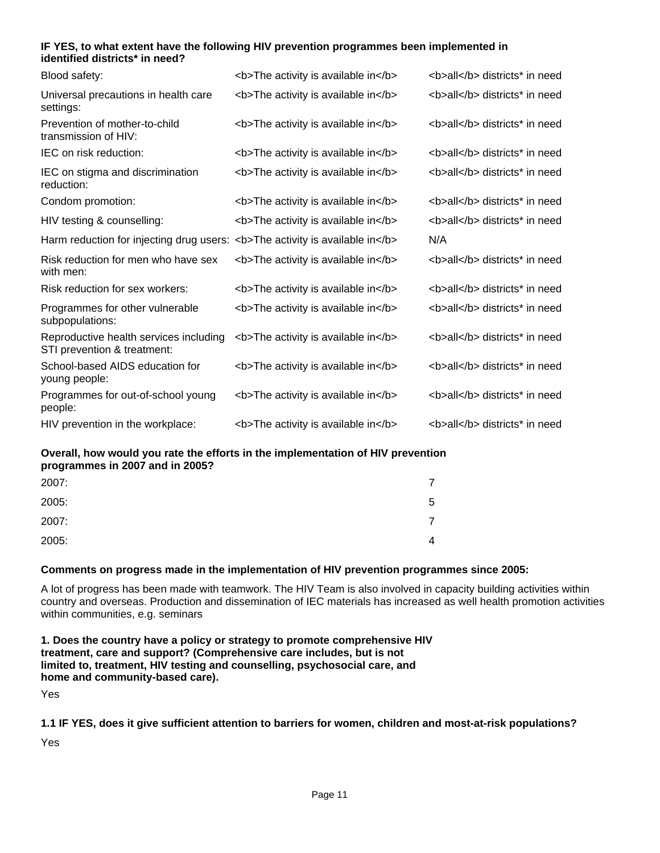#### **IF YES, to what extent have the following HIV prevention programmes been implemented in identified districts\* in need?**

| Blood safety:                                                                | <b>The activity is available in</b> | <b>all</b> districts* in need |
|------------------------------------------------------------------------------|-------------------------------------|-------------------------------|
| Universal precautions in health care<br>settings:                            | <b>The activity is available in</b> | <b>all</b> districts* in need |
| Prevention of mother-to-child<br>transmission of HIV:                        | <b>The activity is available in</b> | <b>all</b> districts* in need |
| IEC on risk reduction:                                                       | <b>The activity is available in</b> | <b>all</b> districts* in need |
| IEC on stigma and discrimination<br>reduction:                               | <b>The activity is available in</b> | <b>all</b> districts* in need |
| Condom promotion:                                                            | <b>The activity is available in</b> | <b>all</b> districts* in need |
| HIV testing & counselling:                                                   | <b>The activity is available in</b> | <b>all</b> districts* in need |
| Harm reduction for injecting drug users: <b>The activity is available in</b> |                                     | N/A                           |
| Risk reduction for men who have sex<br>with men:                             | <b>The activity is available in</b> | <b>all</b> districts* in need |
| Risk reduction for sex workers:                                              | <b>The activity is available in</b> | <b>all</b> districts* in need |
| Programmes for other vulnerable<br>subpopulations:                           | <b>The activity is available in</b> | <b>all</b> districts* in need |
| Reproductive health services including<br>STI prevention & treatment:        | <b>The activity is available in</b> | <b>all</b> districts* in need |
| School-based AIDS education for<br>young people:                             | <b>The activity is available in</b> | <b>all</b> districts* in need |
| Programmes for out-of-school young<br>people:                                | <b>The activity is available in</b> | <b>all</b> districts* in need |
| HIV prevention in the workplace:                                             | <b>The activity is available in</b> | <b>all</b> districts* in need |

**Overall, how would you rate the efforts in the implementation of HIV prevention programmes in 2007 and in 2005?**

| 2007: |   |
|-------|---|
| 2005: | 5 |
| 2007: |   |
| 2005: | 4 |

#### **Comments on progress made in the implementation of HIV prevention programmes since 2005:**

A lot of progress has been made with teamwork. The HIV Team is also involved in capacity building activities within country and overseas. Production and dissemination of IEC materials has increased as well health promotion activities within communities, e.g. seminars

**1. Does the country have a policy or strategy to promote comprehensive HIV treatment, care and support? (Comprehensive care includes, but is not limited to, treatment, HIV testing and counselling, psychosocial care, and home and community-based care).**

Yes

**1.1 IF YES, does it give sufficient attention to barriers for women, children and most-at-risk populations?**

Yes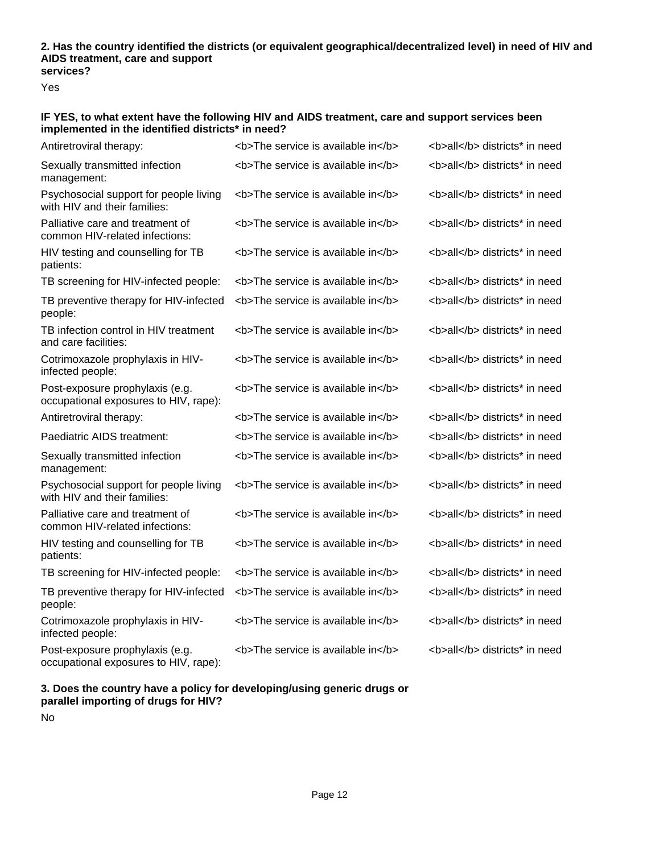#### **2. Has the country identified the districts (or equivalent geographical/decentralized level) in need of HIV and AIDS treatment, care and support services?**

Yes

## **IF YES, to what extent have the following HIV and AIDS treatment, care and support services been implemented in the identified districts\* in need?**

| Antiretroviral therapy:                                                  | <b>The service is available in</b> | <b>all</b> districts* in need |
|--------------------------------------------------------------------------|------------------------------------|-------------------------------|
| Sexually transmitted infection<br>management:                            | <b>The service is available in</b> | <b>all</b> districts* in need |
| Psychosocial support for people living<br>with HIV and their families:   | <b>The service is available in</b> | <b>all</b> districts* in need |
| Palliative care and treatment of<br>common HIV-related infections:       | <b>The service is available in</b> | <b>all</b> districts* in need |
| HIV testing and counselling for TB<br>patients:                          | <b>The service is available in</b> | <b>all</b> districts* in need |
| TB screening for HIV-infected people:                                    | <b>The service is available in</b> | <b>all</b> districts* in need |
| TB preventive therapy for HIV-infected<br>people:                        | <b>The service is available in</b> | <b>all</b> districts* in need |
| TB infection control in HIV treatment<br>and care facilities:            | <b>The service is available in</b> | <b>all</b> districts* in need |
| Cotrimoxazole prophylaxis in HIV-<br>infected people:                    | <b>The service is available in</b> | <b>all</b> districts* in need |
| Post-exposure prophylaxis (e.g.<br>occupational exposures to HIV, rape): | <b>The service is available in</b> | <b>all</b> districts* in need |
| Antiretroviral therapy:                                                  | <b>The service is available in</b> | <b>all</b> districts* in need |
| Paediatric AIDS treatment:                                               | <b>The service is available in</b> | <b>all</b> districts* in need |
| Sexually transmitted infection<br>management:                            | <b>The service is available in</b> | <b>all</b> districts* in need |
| Psychosocial support for people living<br>with HIV and their families:   | <b>The service is available in</b> | <b>all</b> districts* in need |
| Palliative care and treatment of<br>common HIV-related infections:       | <b>The service is available in</b> | <b>all</b> districts* in need |
| HIV testing and counselling for TB<br>patients:                          | <b>The service is available in</b> | <b>all</b> districts* in need |
| TB screening for HIV-infected people:                                    | <b>The service is available in</b> | <b>all</b> districts* in need |
| TB preventive therapy for HIV-infected<br>people:                        | <b>The service is available in</b> | <b>all</b> districts* in need |
| Cotrimoxazole prophylaxis in HIV-<br>infected people:                    | <b>The service is available in</b> | <b>all</b> districts* in need |
| Post-exposure prophylaxis (e.g.<br>occupational exposures to HIV, rape): | <b>The service is available in</b> | <b>all</b> districts* in need |
|                                                                          |                                    |                               |

#### **3. Does the country have a policy for developing/using generic drugs or parallel importing of drugs for HIV?**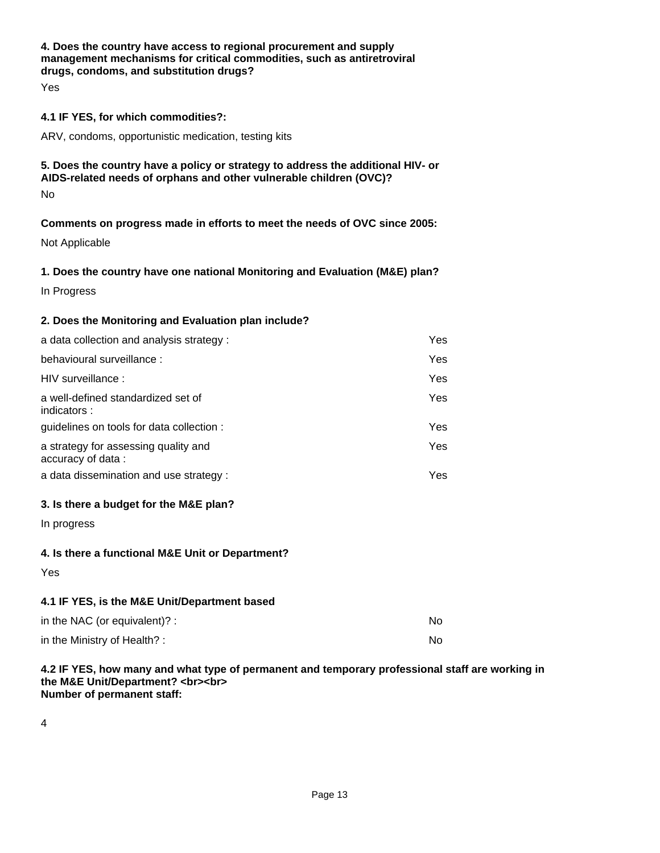## **4. Does the country have access to regional procurement and supply management mechanisms for critical commodities, such as antiretroviral drugs, condoms, and substitution drugs?**

Yes

#### **4.1 IF YES, for which commodities?:**

ARV, condoms, opportunistic medication, testing kits

# **5. Does the country have a policy or strategy to address the additional HIV- or AIDS-related needs of orphans and other vulnerable children (OVC)?**

No

#### **Comments on progress made in efforts to meet the needs of OVC since 2005:**

Not Applicable

#### **1. Does the country have one national Monitoring and Evaluation (M&E) plan?**

In Progress

#### **2. Does the Monitoring and Evaluation plan include?**

| a data collection and analysis strategy:                  | Yes  |
|-----------------------------------------------------------|------|
| behavioural surveillance :                                | Yes  |
| HIV surveillance:                                         | Yes  |
| a well-defined standardized set of<br>indicators:         | Yes  |
| guidelines on tools for data collection :                 | Yes. |
| a strategy for assessing quality and<br>accuracy of data: | Yes  |
| a data dissemination and use strategy:                    | Yes. |

#### **3. Is there a budget for the M&E plan?**

In progress

#### **4. Is there a functional M&E Unit or Department?**

Yes

#### **4.1 IF YES, is the M&E Unit/Department based**

| in the NAC (or equivalent)? : | No |
|-------------------------------|----|
| in the Ministry of Health?:   | No |

#### **4.2 IF YES, how many and what type of permanent and temporary professional staff are working in the M&E Unit/Department? <br><br> Number of permanent staff:**

4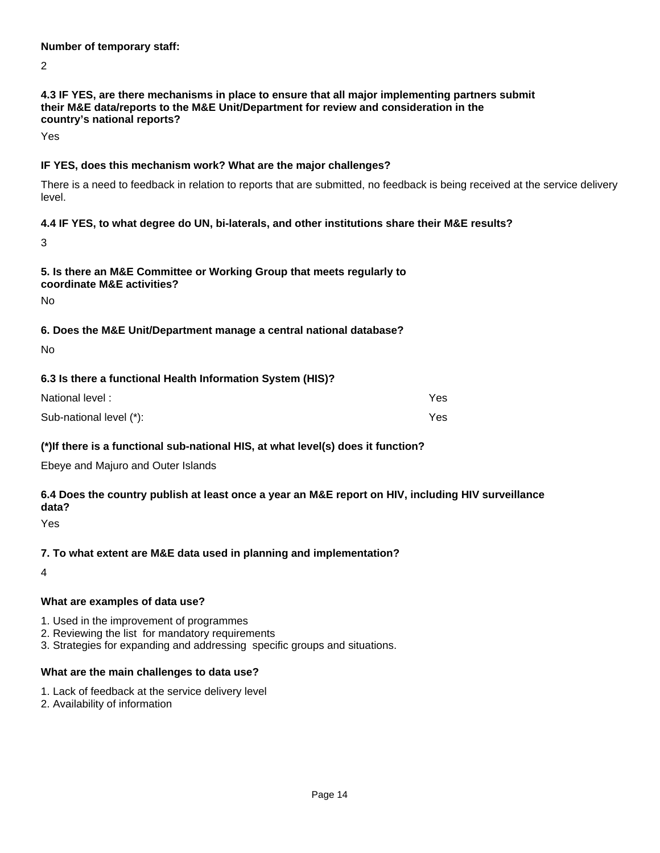#### **Number of temporary staff:**

2

## **4.3 IF YES, are there mechanisms in place to ensure that all major implementing partners submit their M&E data/reports to the M&E Unit/Department for review and consideration in the country's national reports?**

Yes

## **IF YES, does this mechanism work? What are the major challenges?**

There is a need to feedback in relation to reports that are submitted, no feedback is being received at the service delivery level.

#### **4.4 IF YES, to what degree do UN, bi-laterals, and other institutions share their M&E results?**

3

#### **5. Is there an M&E Committee or Working Group that meets regularly to coordinate M&E activities?**

No

# **6. Does the M&E Unit/Department manage a central national database?**

No

# **6.3 Is there a functional Health Information System (HIS)?**

| National level:         | Yes  |
|-------------------------|------|
| Sub-national level (*): | Yes. |

# **(\*)If there is a functional sub-national HIS, at what level(s) does it function?**

Ebeye and Majuro and Outer Islands

# **6.4 Does the country publish at least once a year an M&E report on HIV, including HIV surveillance data?**

Yes

# **7. To what extent are M&E data used in planning and implementation?**

4

# **What are examples of data use?**

- 1. Used in the improvement of programmes
- 2. Reviewing the list for mandatory requirements
- 3. Strategies for expanding and addressing specific groups and situations.

# **What are the main challenges to data use?**

- 1. Lack of feedback at the service delivery level
- 2. Availability of information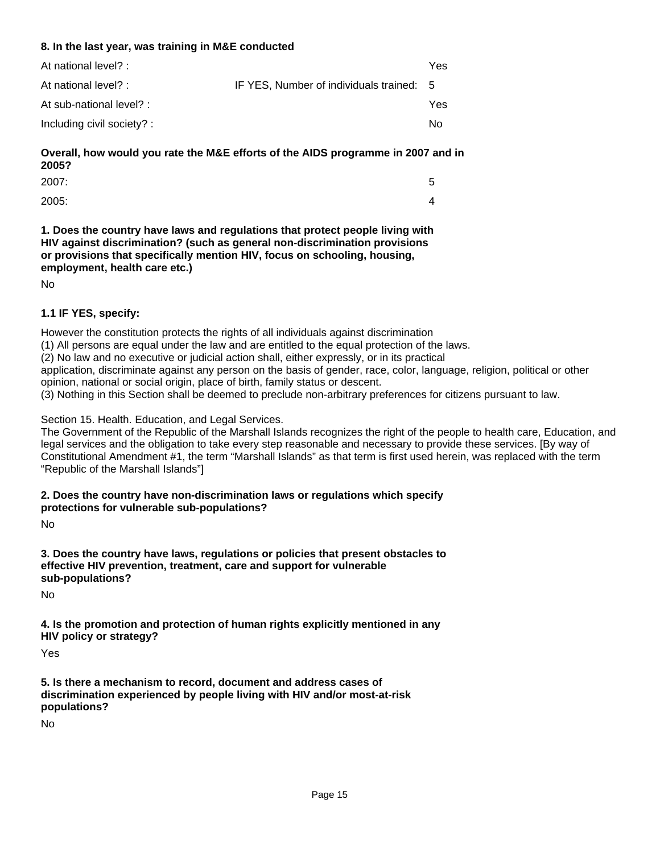#### **8. In the last year, was training in M&E conducted**

|                                          | Yes |
|------------------------------------------|-----|
| IF YES, Number of individuals trained: 5 |     |
|                                          | Yes |
|                                          | No. |
|                                          |     |

# **Overall, how would you rate the M&E efforts of the AIDS programme in 2007 and in 2005?**

| 2007: | ∽<br>u     |
|-------|------------|
| 2005: | $\sqrt{ }$ |

**1. Does the country have laws and regulations that protect people living with HIV against discrimination? (such as general non-discrimination provisions or provisions that specifically mention HIV, focus on schooling, housing, employment, health care etc.)**

No

# **1.1 IF YES, specify:**

However the constitution protects the rights of all individuals against discrimination

(1) All persons are equal under the law and are entitled to the equal protection of the laws.

(2) No law and no executive or judicial action shall, either expressly, or in its practical

application, discriminate against any person on the basis of gender, race, color, language, religion, political or other opinion, national or social origin, place of birth, family status or descent.

(3) Nothing in this Section shall be deemed to preclude non-arbitrary preferences for citizens pursuant to law.

Section 15. Health. Education, and Legal Services.

The Government of the Republic of the Marshall Islands recognizes the right of the people to health care, Education, and legal services and the obligation to take every step reasonable and necessary to provide these services. [By way of Constitutional Amendment #1, the term "Marshall Islands" as that term is first used herein, was replaced with the term "Republic of the Marshall Islands"]

**2. Does the country have non-discrimination laws or regulations which specify protections for vulnerable sub-populations?**

No

**3. Does the country have laws, regulations or policies that present obstacles to effective HIV prevention, treatment, care and support for vulnerable sub-populations?**

No

**4. Is the promotion and protection of human rights explicitly mentioned in any HIV policy or strategy?**

Yes

**5. Is there a mechanism to record, document and address cases of discrimination experienced by people living with HIV and/or most-at-risk populations?**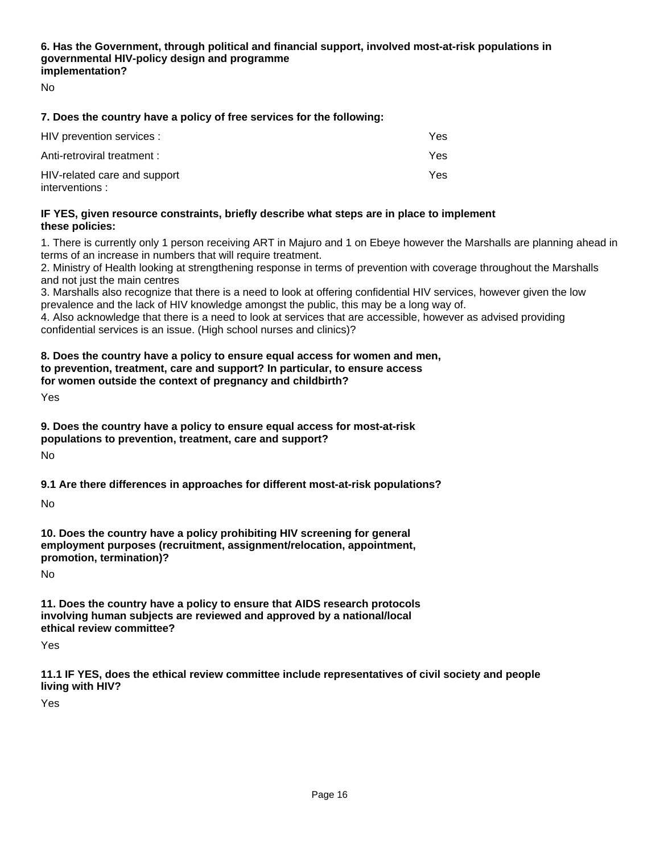## **6. Has the Government, through political and financial support, involved most-at-risk populations in governmental HIV-policy design and programme implementation?**

No

#### **7. Does the country have a policy of free services for the following:**

| HIV prevention services :                      | Yes |
|------------------------------------------------|-----|
| Anti-retroviral treatment :                    | Yes |
| HIV-related care and support<br>interventions: | Yes |

#### **IF YES, given resource constraints, briefly describe what steps are in place to implement these policies:**

1. There is currently only 1 person receiving ART in Majuro and 1 on Ebeye however the Marshalls are planning ahead in terms of an increase in numbers that will require treatment.

2. Ministry of Health looking at strengthening response in terms of prevention with coverage throughout the Marshalls and not just the main centres

3. Marshalls also recognize that there is a need to look at offering confidential HIV services, however given the low prevalence and the lack of HIV knowledge amongst the public, this may be a long way of.

4. Also acknowledge that there is a need to look at services that are accessible, however as advised providing confidential services is an issue. (High school nurses and clinics)?

#### **8. Does the country have a policy to ensure equal access for women and men, to prevention, treatment, care and support? In particular, to ensure access for women outside the context of pregnancy and childbirth?**

Yes

**9. Does the country have a policy to ensure equal access for most-at-risk populations to prevention, treatment, care and support?**

No

**9.1 Are there differences in approaches for different most-at-risk populations?**

No

**10. Does the country have a policy prohibiting HIV screening for general employment purposes (recruitment, assignment/relocation, appointment, promotion, termination)?**

No

**11. Does the country have a policy to ensure that AIDS research protocols involving human subjects are reviewed and approved by a national/local ethical review committee?**

Yes

**11.1 IF YES, does the ethical review committee include representatives of civil society and people living with HIV?**

Yes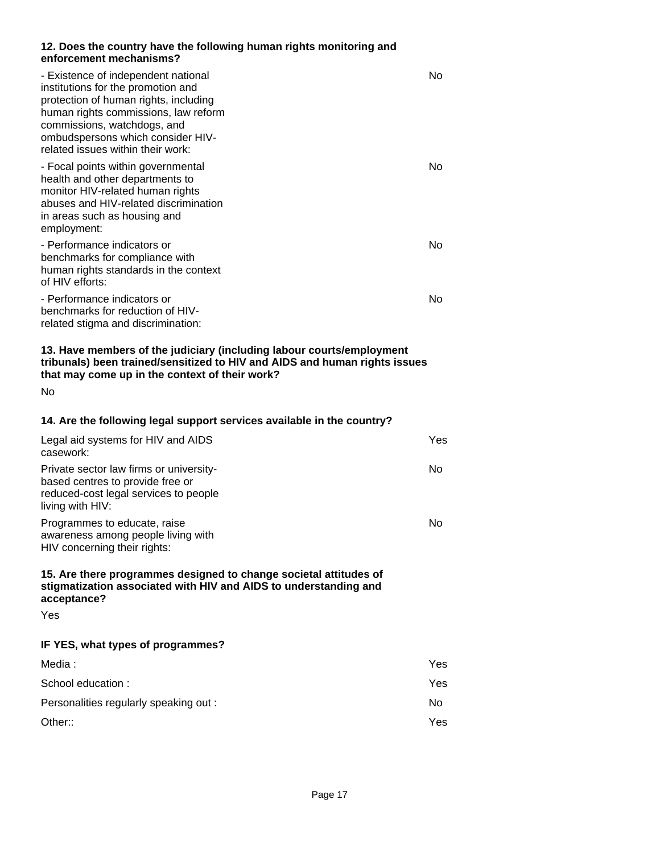#### **12. Does the country have the following human rights monitoring and enforcement mechanisms?**

| - Existence of independent national<br>institutions for the promotion and<br>protection of human rights, including<br>human rights commissions, law reform<br>commissions, watchdogs, and<br>ombudspersons which consider HIV-<br>related issues within their work: | No         |
|---------------------------------------------------------------------------------------------------------------------------------------------------------------------------------------------------------------------------------------------------------------------|------------|
| - Focal points within governmental<br>health and other departments to<br>monitor HIV-related human rights<br>abuses and HIV-related discrimination<br>in areas such as housing and<br>employment:                                                                   | No         |
| - Performance indicators or<br>benchmarks for compliance with<br>human rights standards in the context<br>of HIV efforts:                                                                                                                                           | No         |
| - Performance indicators or<br>benchmarks for reduction of HIV-<br>related stigma and discrimination:                                                                                                                                                               | No         |
| 13. Have members of the judiciary (including labour courts/employment<br>tribunals) been trained/sensitized to HIV and AIDS and human rights issues<br>that may come up in the context of their work?<br><b>No</b>                                                  |            |
| 14. Are the following legal support services available in the country?                                                                                                                                                                                              |            |
| Legal aid systems for HIV and AIDS<br>casework:                                                                                                                                                                                                                     | <b>Yes</b> |
| Private sector law firms or university-<br>based centres to provide free or<br>reduced-cost legal services to people<br>living with HIV:                                                                                                                            | No.        |
| Programmes to educate, raise<br>awareness among people living with<br>HIV concerning their rights:                                                                                                                                                                  | No.        |
| 15. Are there programmes designed to change societal attitudes of<br>stigmatization associated with HIV and AIDS to understanding and<br>acceptance?                                                                                                                |            |
| Yes                                                                                                                                                                                                                                                                 |            |
| IF YES, what types of programmes?                                                                                                                                                                                                                                   |            |
| Media:                                                                                                                                                                                                                                                              | Yes        |
| School education :                                                                                                                                                                                                                                                  | Yes        |
| Personalities regularly speaking out :                                                                                                                                                                                                                              | No.        |
| Other::                                                                                                                                                                                                                                                             | Yes        |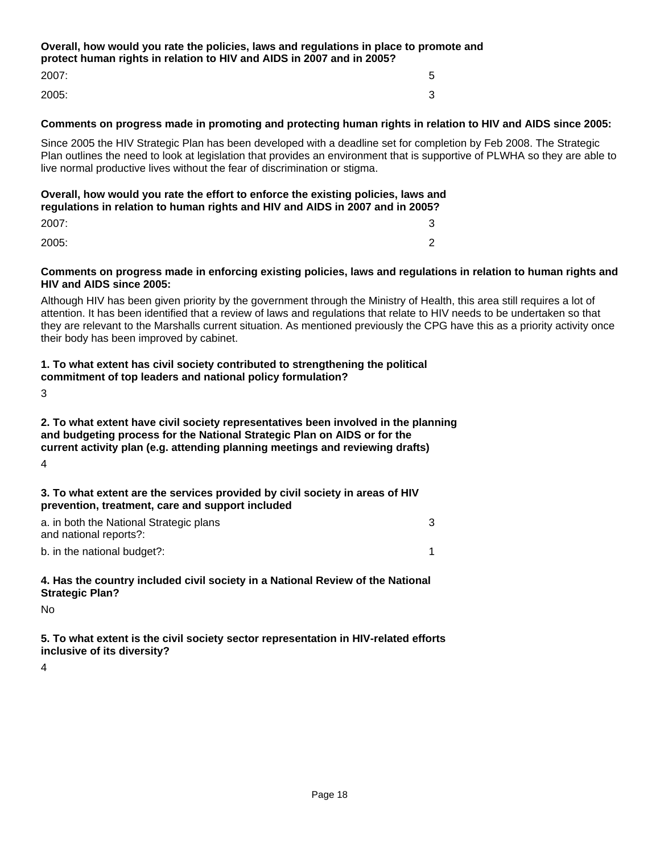# **Overall, how would you rate the policies, laws and regulations in place to promote and protect human rights in relation to HIV and AIDS in 2007 and in 2005?** 2007: 5

2005: 3

#### **Comments on progress made in promoting and protecting human rights in relation to HIV and AIDS since 2005:**

Since 2005 the HIV Strategic Plan has been developed with a deadline set for completion by Feb 2008. The Strategic Plan outlines the need to look at legislation that provides an environment that is supportive of PLWHA so they are able to live normal productive lives without the fear of discrimination or stigma.

#### **Overall, how would you rate the effort to enforce the existing policies, laws and regulations in relation to human rights and HIV and AIDS in 2007 and in 2005?**

| 2007: | ⌒<br>ື |
|-------|--------|
| 2005: | ⌒      |

#### **Comments on progress made in enforcing existing policies, laws and regulations in relation to human rights and HIV and AIDS since 2005:**

Although HIV has been given priority by the government through the Ministry of Health, this area still requires a lot of attention. It has been identified that a review of laws and regulations that relate to HIV needs to be undertaken so that they are relevant to the Marshalls current situation. As mentioned previously the CPG have this as a priority activity once their body has been improved by cabinet.

#### **1. To what extent has civil society contributed to strengthening the political commitment of top leaders and national policy formulation?**

3

#### **2. To what extent have civil society representatives been involved in the planning and budgeting process for the National Strategic Plan on AIDS or for the current activity plan (e.g. attending planning meetings and reviewing drafts)**

4

#### **3. To what extent are the services provided by civil society in areas of HIV prevention, treatment, care and support included**

| a. in both the National Strategic plans |  |
|-----------------------------------------|--|
| and national reports?:                  |  |
| b. in the national budget?:             |  |

#### **4. Has the country included civil society in a National Review of the National Strategic Plan?**

No

**5. To what extent is the civil society sector representation in HIV-related efforts inclusive of its diversity?**

4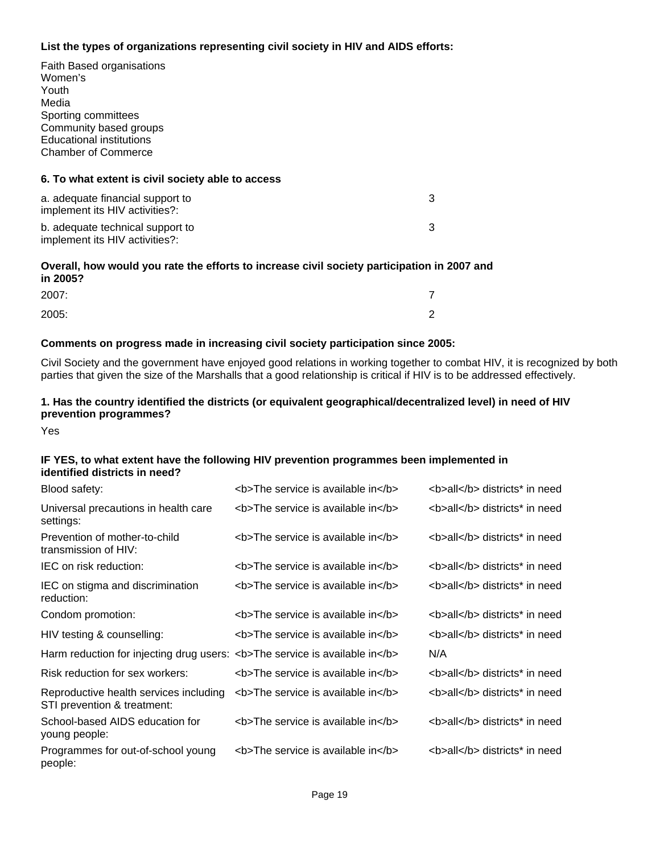#### **List the types of organizations representing civil society in HIV and AIDS efforts:**

Faith Based organisations Women's Youth Media Sporting committees Community based groups Educational institutions Chamber of Commerce

#### **6. To what extent is civil society able to access**

| a. adequate financial support to<br>implement its HIV activities?: |  |
|--------------------------------------------------------------------|--|
| b. adequate technical support to<br>implement its HIV activities?: |  |

#### **Overall, how would you rate the efforts to increase civil society participation in 2007 and in 2005?**

| 2007: |   |
|-------|---|
| 2005: | ⌒ |

#### **Comments on progress made in increasing civil society participation since 2005:**

Civil Society and the government have enjoyed good relations in working together to combat HIV, it is recognized by both parties that given the size of the Marshalls that a good relationship is critical if HIV is to be addressed effectively.

## **1. Has the country identified the districts (or equivalent geographical/decentralized level) in need of HIV prevention programmes?**

Yes

#### **IF YES, to what extent have the following HIV prevention programmes been implemented in identified districts in need?**

| Blood safety:                                                               | <b>The service is available in</b> | <b>all</b> districts* in need |
|-----------------------------------------------------------------------------|------------------------------------|-------------------------------|
| Universal precautions in health care<br>settings:                           | <b>The service is available in</b> | <b>all</b> districts* in need |
| Prevention of mother-to-child<br>transmission of HIV:                       | <b>The service is available in</b> | <b>all</b> districts* in need |
| IEC on risk reduction:                                                      | <b>The service is available in</b> | <b>all</b> districts* in need |
| IEC on stigma and discrimination<br>reduction:                              | <b>The service is available in</b> | <b>all</b> districts* in need |
| Condom promotion:                                                           | <b>The service is available in</b> | <b>all</b> districts* in need |
| HIV testing & counselling:                                                  | <b>The service is available in</b> | <b>all</b> districts* in need |
| Harm reduction for injecting drug users: <b>The service is available in</b> |                                    | N/A                           |
| Risk reduction for sex workers:                                             | <b>The service is available in</b> | <b>all</b> districts* in need |
| Reproductive health services including<br>STI prevention & treatment:       | <b>The service is available in</b> | <b>all</b> districts* in need |
| School-based AIDS education for<br>young people:                            | <b>The service is available in</b> | <b>all</b> districts* in need |
| Programmes for out-of-school young<br>people:                               | <b>The service is available in</b> | <b>all</b> districts* in need |